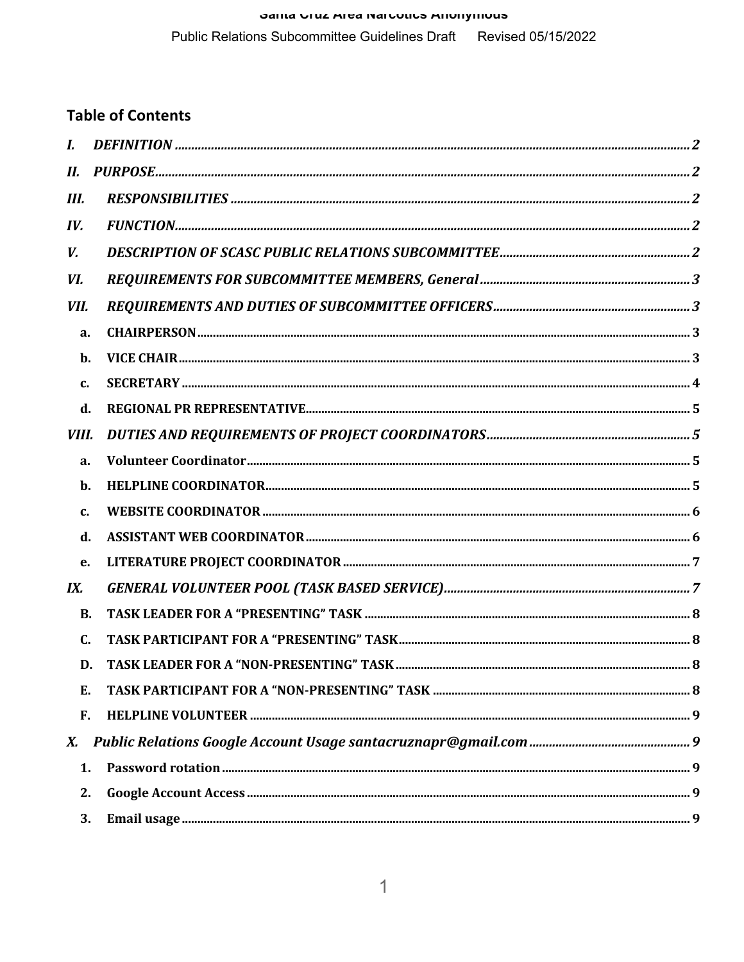# Janua VIUL AIGA NAIVULIUS ANUNJINUUS Public Relations Subcommittee Guidelines Draft Revised 05/15/2022

# **Table of Contents**

| $\bm{I}$ .     |  |  |
|----------------|--|--|
| II.            |  |  |
| Ш.             |  |  |
| IV.            |  |  |
| V.             |  |  |
| VI.            |  |  |
| VII.           |  |  |
| a.             |  |  |
| b.             |  |  |
| $c$ .          |  |  |
| d.             |  |  |
| VIII.          |  |  |
| a.             |  |  |
| b.             |  |  |
| $\mathbf{c}$ . |  |  |
| d.             |  |  |
| e.             |  |  |
| IX.            |  |  |
| <b>B.</b>      |  |  |
| $\mathbf{C}$   |  |  |
| D.             |  |  |
| E.             |  |  |
| F.             |  |  |
| X.             |  |  |
| 1.             |  |  |
| 2.             |  |  |
| 3.             |  |  |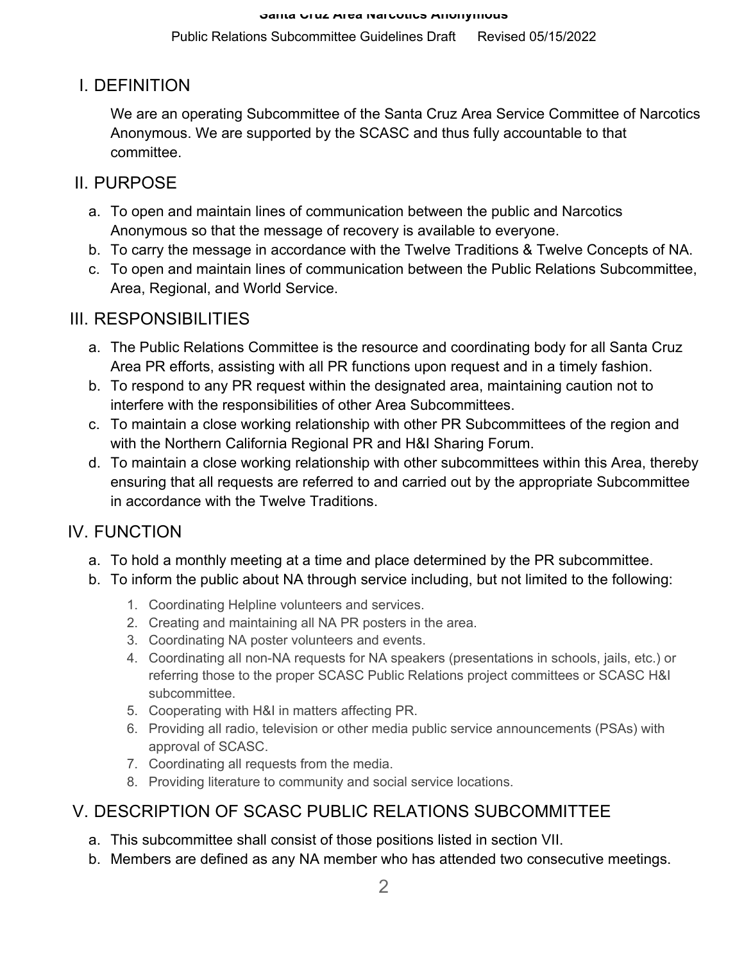Public Relations Subcommittee Guidelines Draft Revised 05/15/2022

# I. DEFINITION

We are an operating Subcommittee of the Santa Cruz Area Service Committee of Narcotics Anonymous. We are supported by the SCASC and thus fully accountable to that committee.

# II. PURPOSE

- a. To open and maintain lines of communication between the public and Narcotics Anonymous so that the message of recovery is available to everyone.
- b. To carry the message in accordance with the Twelve Traditions & Twelve Concepts of NA.
- c. To open and maintain lines of communication between the Public Relations Subcommittee, Area, Regional, and World Service.

# III. RESPONSIBILITIES

- a. The Public Relations Committee is the resource and coordinating body for all Santa Cruz Area PR efforts, assisting with all PR functions upon request and in a timely fashion.
- b. To respond to any PR request within the designated area, maintaining caution not to interfere with the responsibilities of other Area Subcommittees.
- c. To maintain a close working relationship with other PR Subcommittees of the region and with the Northern California Regional PR and H&I Sharing Forum.
- d. To maintain a close working relationship with other subcommittees within this Area, thereby ensuring that all requests are referred to and carried out by the appropriate Subcommittee in accordance with the Twelve Traditions.

# IV. FUNCTION

- a. To hold a monthly meeting at a time and place determined by the PR subcommittee.
- b. To inform the public about NA through service including, but not limited to the following:
	- 1. Coordinating Helpline volunteers and services.
	- 2. Creating and maintaining all NA PR posters in the area.
	- 3. Coordinating NA poster volunteers and events.
	- 4. Coordinating all non-NA requests for NA speakers (presentations in schools, jails, etc.) or referring those to the proper SCASC Public Relations project committees or SCASC H&I subcommittee.
	- 5. Cooperating with H&I in matters affecting PR.
	- 6. Providing all radio, television or other media public service announcements (PSAs) with approval of SCASC.
	- 7. Coordinating all requests from the media.
	- 8. Providing literature to community and social service locations.

# V. DESCRIPTION OF SCASC PUBLIC RELATIONS SUBCOMMITTEE

- a. This subcommittee shall consist of those positions listed in section VII.
- b. Members are defined as any NA member who has attended two consecutive meetings.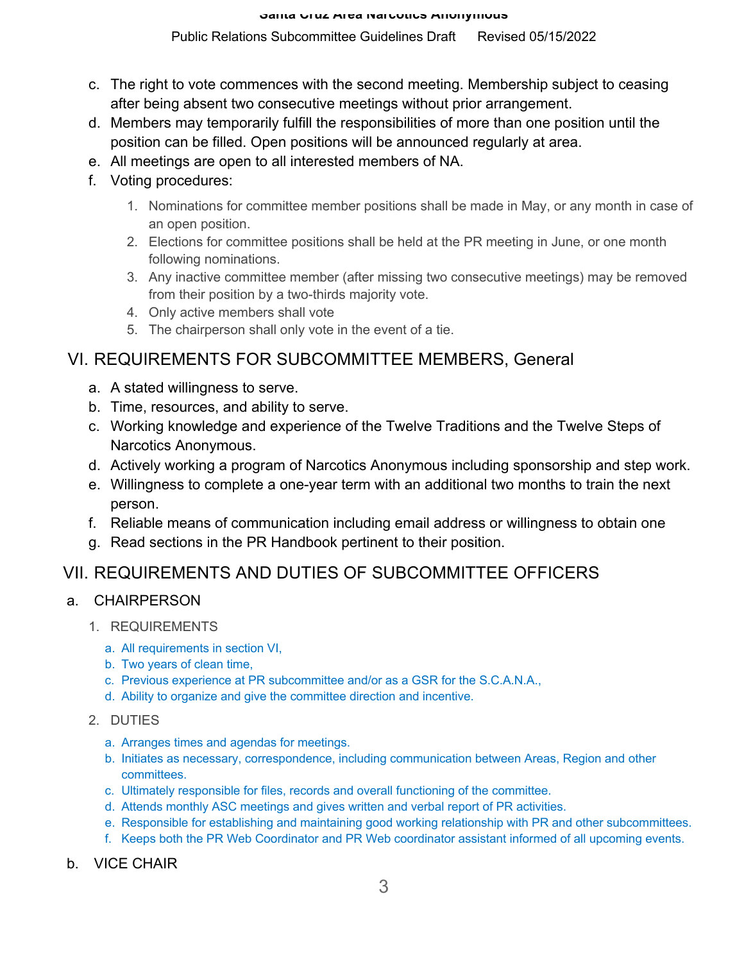### Public Relations Subcommittee Guidelines Draft Revised 05/15/2022

- c. The right to vote commences with the second meeting. Membership subject to ceasing after being absent two consecutive meetings without prior arrangement.
- d. Members may temporarily fulfill the responsibilities of more than one position until the position can be filled. Open positions will be announced regularly at area.
- e. All meetings are open to all interested members of NA.
- f. Voting procedures:
	- 1. Nominations for committee member positions shall be made in May, or any month in case of an open position.
	- 2. Elections for committee positions shall be held at the PR meeting in June, or one month following nominations.
	- 3. Any inactive committee member (after missing two consecutive meetings) may be removed from their position by a two-thirds majority vote.
	- 4. Only active members shall vote
	- 5. The chairperson shall only vote in the event of a tie.

# VI. REQUIREMENTS FOR SUBCOMMITTEE MEMBERS, General

- a. A stated willingness to serve.
- b. Time, resources, and ability to serve.
- c. Working knowledge and experience of the Twelve Traditions and the Twelve Steps of Narcotics Anonymous.
- d. Actively working a program of Narcotics Anonymous including sponsorship and step work.
- e. Willingness to complete a one-year term with an additional two months to train the next person.
- f. Reliable means of communication including email address or willingness to obtain one
- g. Read sections in the PR Handbook pertinent to their position.

# VII. REQUIREMENTS AND DUTIES OF SUBCOMMITTEE OFFICERS

## a. CHAIRPERSON

- 1. REQUIREMENTS
	- a. All requirements in section VI,
	- b. Two years of clean time,
	- c. Previous experience at PR subcommittee and/or as a GSR for the S.C.A.N.A.,
	- d. Ability to organize and give the committee direction and incentive.
- 2. DUTIES
	- a. Arranges times and agendas for meetings.
	- b. Initiates as necessary, correspondence, including communication between Areas, Region and other committees.
	- c. Ultimately responsible for files, records and overall functioning of the committee.
	- d. Attends monthly ASC meetings and gives written and verbal report of PR activities.
	- e. Responsible for establishing and maintaining good working relationship with PR and other subcommittees.
	- f. Keeps both the PR Web Coordinator and PR Web coordinator assistant informed of all upcoming events.

## b. VICE CHAIR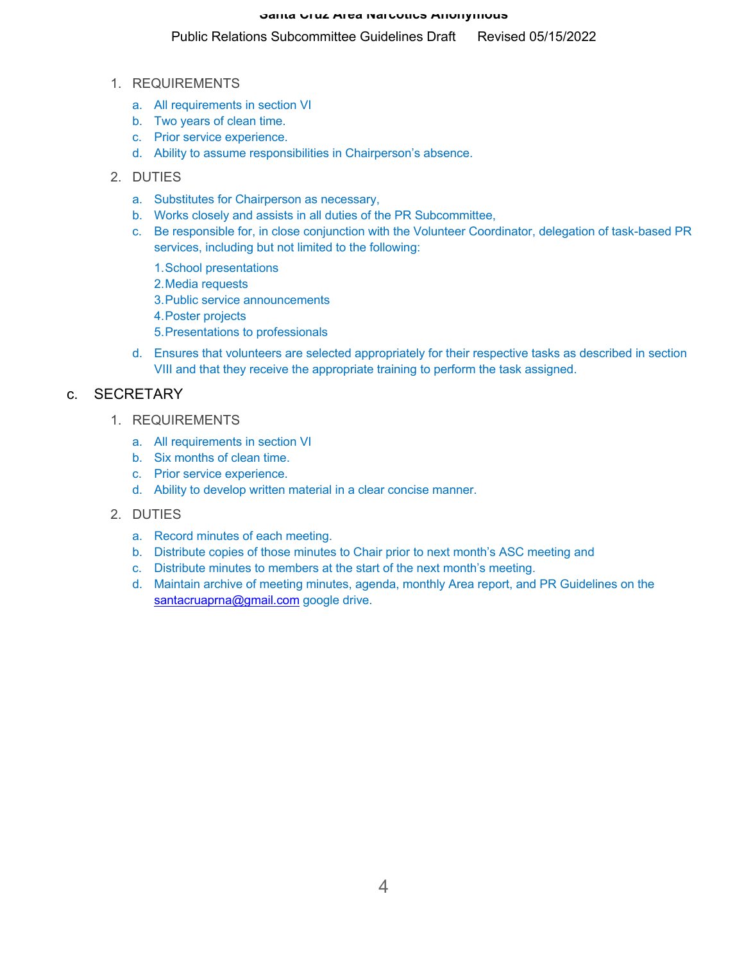#### Public Relations Subcommittee Guidelines Draft Revised 05/15/2022

- 1. REQUIREMENTS
	- a. All requirements in section VI
	- b. Two years of clean time.
	- c. Prior service experience.
	- d. Ability to assume responsibilities in Chairperson's absence.
- 2. DUTIES
	- a. Substitutes for Chairperson as necessary,
	- b. Works closely and assists in all duties of the PR Subcommittee,
	- c. Be responsible for, in close conjunction with the Volunteer Coordinator, delegation of task-based PR services, including but not limited to the following:
		- 1.School presentations
		- 2.Media requests
		- 3.Public service announcements
		- 4.Poster projects
		- 5.Presentations to professionals
	- d. Ensures that volunteers are selected appropriately for their respective tasks as described in section VIII and that they receive the appropriate training to perform the task assigned.

### c. SECRETARY

- 1. REQUIREMENTS
	- a. All requirements in section VI
	- b. Six months of clean time.
	- c. Prior service experience.
	- d. Ability to develop written material in a clear concise manner.
- 2. DUTIES
	- a. Record minutes of each meeting.
	- b. Distribute copies of those minutes to Chair prior to next month's ASC meeting and
	- c. Distribute minutes to members at the start of the next month's meeting.
	- d. Maintain archive of meeting minutes, agenda, monthly Area report, and PR Guidelines on the santacruaprna@gmail.com google drive.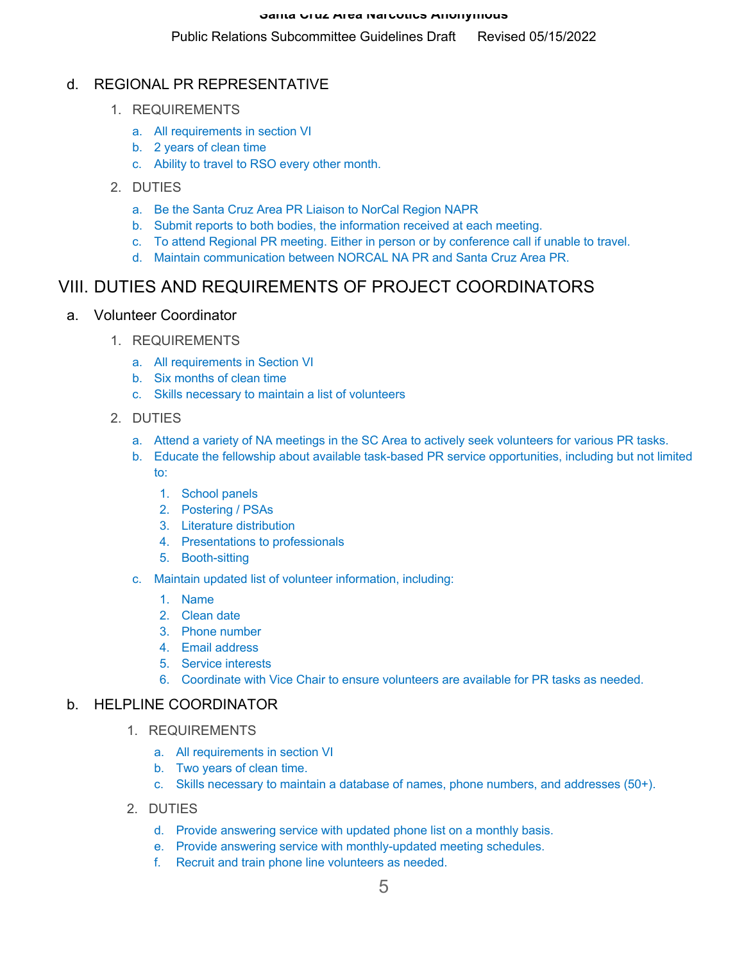# d. REGIONAL PR REPRESENTATIVE

- 1. REQUIREMENTS
	- a. All requirements in section VI
	- b. 2 years of clean time
	- c. Ability to travel to RSO every other month.
- 2. DUTIES
	- a. Be the Santa Cruz Area PR Liaison to NorCal Region NAPR
	- b. Submit reports to both bodies, the information received at each meeting.
	- c. To attend Regional PR meeting. Either in person or by conference call if unable to travel.
	- d. Maintain communication between NORCAL NA PR and Santa Cruz Area PR.

# VIII. DUTIES AND REQUIREMENTS OF PROJECT COORDINATORS

### a. Volunteer Coordinator

- 1. REQUIREMENTS
	- a. All requirements in Section VI
	- b. Six months of clean time
	- c. Skills necessary to maintain a list of volunteers
- 2. DUTIES
	- a. Attend a variety of NA meetings in the SC Area to actively seek volunteers for various PR tasks.
	- b. Educate the fellowship about available task-based PR service opportunities, including but not limited to:
		- 1. School panels
		- 2. Postering / PSAs
		- 3. Literature distribution
		- 4. Presentations to professionals
		- 5. Booth-sitting
	- c. Maintain updated list of volunteer information, including:
		- 1. Name
		- 2. Clean date
		- 3. Phone number
		- 4. Email address
		- 5. Service interests
		- 6. Coordinate with Vice Chair to ensure volunteers are available for PR tasks as needed.

## b. HELPLINE COORDINATOR

- 1. REQUIREMENTS
	- a. All requirements in section VI
	- b. Two years of clean time.
	- c. Skills necessary to maintain a database of names, phone numbers, and addresses (50+).
- 2. DUTIES
	- d. Provide answering service with updated phone list on a monthly basis.
	- e. Provide answering service with monthly-updated meeting schedules.
	- f. Recruit and train phone line volunteers as needed.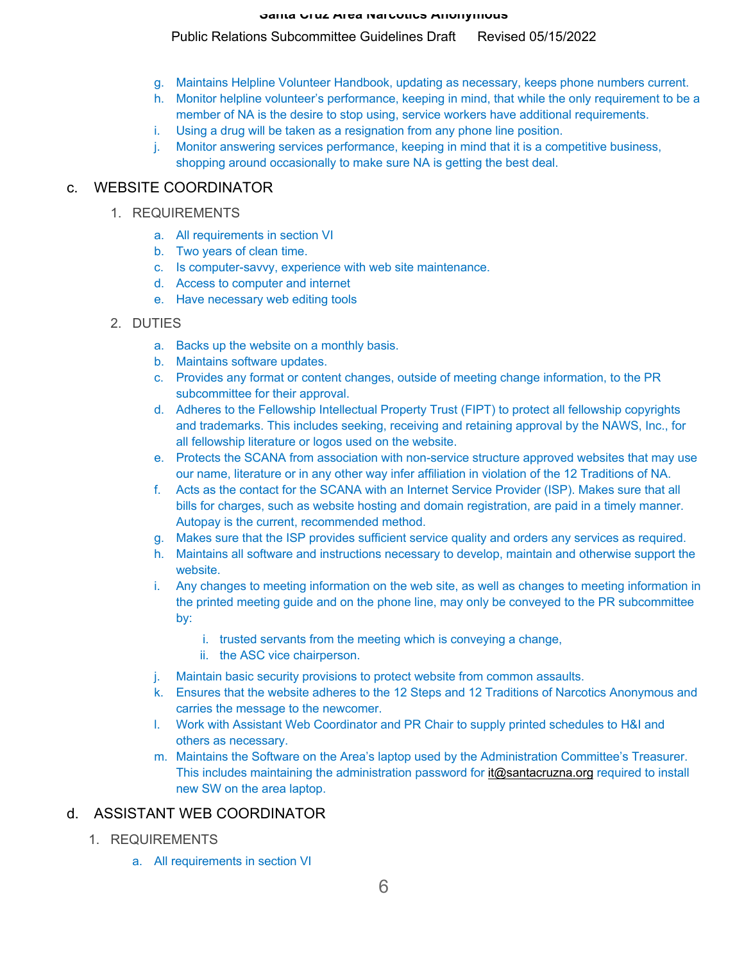#### Public Relations Subcommittee Guidelines Draft Revised 05/15/2022

- g. Maintains Helpline Volunteer Handbook, updating as necessary, keeps phone numbers current.
- h. Monitor helpline volunteer's performance, keeping in mind, that while the only requirement to be a member of NA is the desire to stop using, service workers have additional requirements.
- i. Using a drug will be taken as a resignation from any phone line position.
- j. Monitor answering services performance, keeping in mind that it is a competitive business, shopping around occasionally to make sure NA is getting the best deal.

## c. WEBSITE COORDINATOR

- 1. REQUIREMENTS
	- a. All requirements in section VI
	- b. Two years of clean time.
	- c. Is computer-savvy, experience with web site maintenance.
	- d. Access to computer and internet
	- e. Have necessary web editing tools
- 2. DUTIES
	- a. Backs up the website on a monthly basis.
	- b. Maintains software updates.
	- c. Provides any format or content changes, outside of meeting change information, to the PR subcommittee for their approval.
	- d. Adheres to the Fellowship Intellectual Property Trust (FIPT) to protect all fellowship copyrights and trademarks. This includes seeking, receiving and retaining approval by the NAWS, Inc., for all fellowship literature or logos used on the website.
	- e. Protects the SCANA from association with non-service structure approved websites that may use our name, literature or in any other way infer affiliation in violation of the 12 Traditions of NA.
	- f. Acts as the contact for the SCANA with an Internet Service Provider (ISP). Makes sure that all bills for charges, such as website hosting and domain registration, are paid in a timely manner. Autopay is the current, recommended method.
	- g. Makes sure that the ISP provides sufficient service quality and orders any services as required.
	- h. Maintains all software and instructions necessary to develop, maintain and otherwise support the website.
	- i. Any changes to meeting information on the web site, as well as changes to meeting information in the printed meeting guide and on the phone line, may only be conveyed to the PR subcommittee by:
		- i. trusted servants from the meeting which is conveying a change,
		- ii. the ASC vice chairperson.
	- j. Maintain basic security provisions to protect website from common assaults.
	- k. Ensures that the website adheres to the 12 Steps and 12 Traditions of Narcotics Anonymous and carries the message to the newcomer.
	- l. Work with Assistant Web Coordinator and PR Chair to supply printed schedules to H&I and others as necessary.
	- m. Maintains the Software on the Area's laptop used by the Administration Committee's Treasurer. This includes maintaining the administration password for it@santacruzna.org required to install new SW on the area laptop.

## d. ASSISTANT WEB COORDINATOR

- 1. REQUIREMENTS
	- a. All requirements in section VI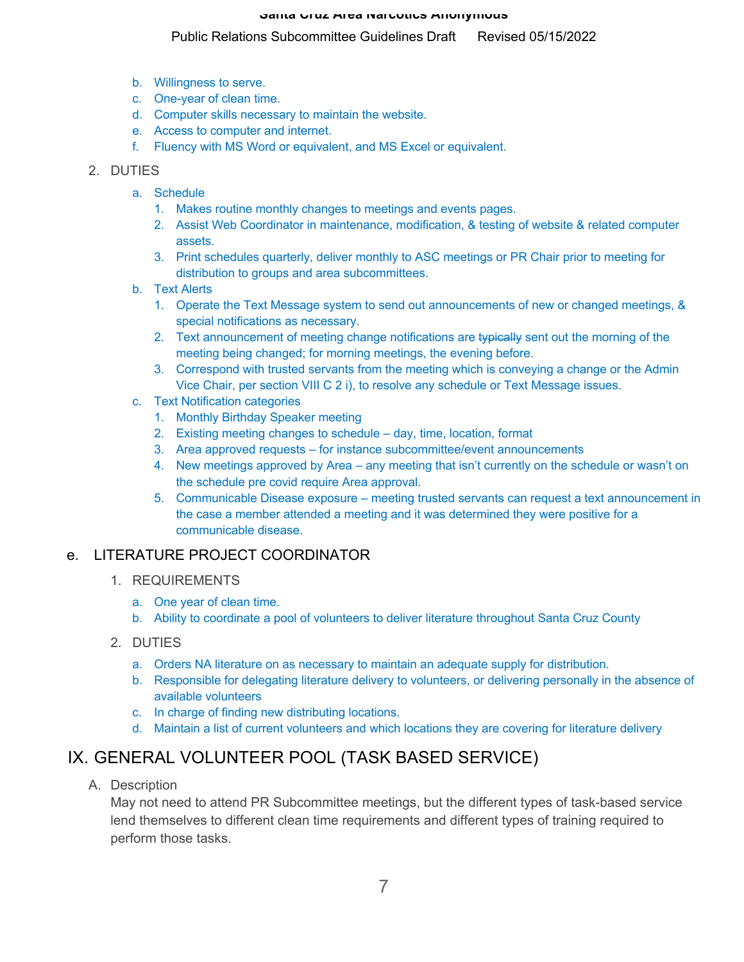#### Public Relations Subcommittee Guidelines Draft Revised 05/15/2022

- b. Willingness to serve.
- c. One-year of clean time.
- d. Computer skills necessary to maintain the website.
- e. Access to computer and internet.
- f. Fluency with MS Word or equivalent, and MS Excel or equivalent.

#### 2. DUTIES

- a. Schedule
	- 1. Makes routine monthly changes to meetings and events pages.
	- 2. Assist Web Coordinator in maintenance, modification, & testing of website & related computer assets.
	- 3. Print schedules quarterly, deliver monthly to ASC meetings or PR Chair prior to meeting for distribution to groups and area subcommittees.
- b. Text Alerts
	- 1. Operate the Text Message system to send out announcements of new or changed meetings, & special notifications as necessary.
	- 2. Text announcement of meeting change notifications are typically sent out the morning of the meeting being changed; for morning meetings, the evening before.
	- 3. Correspond with trusted servants from the meeting which is conveying a change or the Admin Vice Chair, per section VIII C 2 i), to resolve any schedule or Text Message issues.
- c. Text Notification categories
	- 1. Monthly Birthday Speaker meeting
	- 2. Existing meeting changes to schedule day, time, location, format
	- 3. Area approved requests for instance subcommittee/event announcements
	- 4. New meetings approved by Area any meeting that isn't currently on the schedule or wasn't on the schedule pre covid require Area approval.
	- 5. Communicable Disease exposure meeting trusted servants can request a text announcement in the case a member attended a meeting and it was determined they were positive for a communicable disease.

## e. LITERATURE PROJECT COORDINATOR

- 1. REQUIREMENTS
	- a. One year of clean time.
	- b. Ability to coordinate a pool of volunteers to deliver literature throughout Santa Cruz County
- 2. DUTIES
	- a. Orders NA literature on as necessary to maintain an adequate supply for distribution.
	- b. Responsible for delegating literature delivery to volunteers, or delivering personally in the absence of available volunteers
	- c. In charge of finding new distributing locations.
	- d. Maintain a list of current volunteers and which locations they are covering for literature delivery

# IX. GENERAL VOLUNTEER POOL (TASK BASED SERVICE)

A. Description

May not need to attend PR Subcommittee meetings, but the different types of task-based service lend themselves to different clean time requirements and different types of training required to perform those tasks.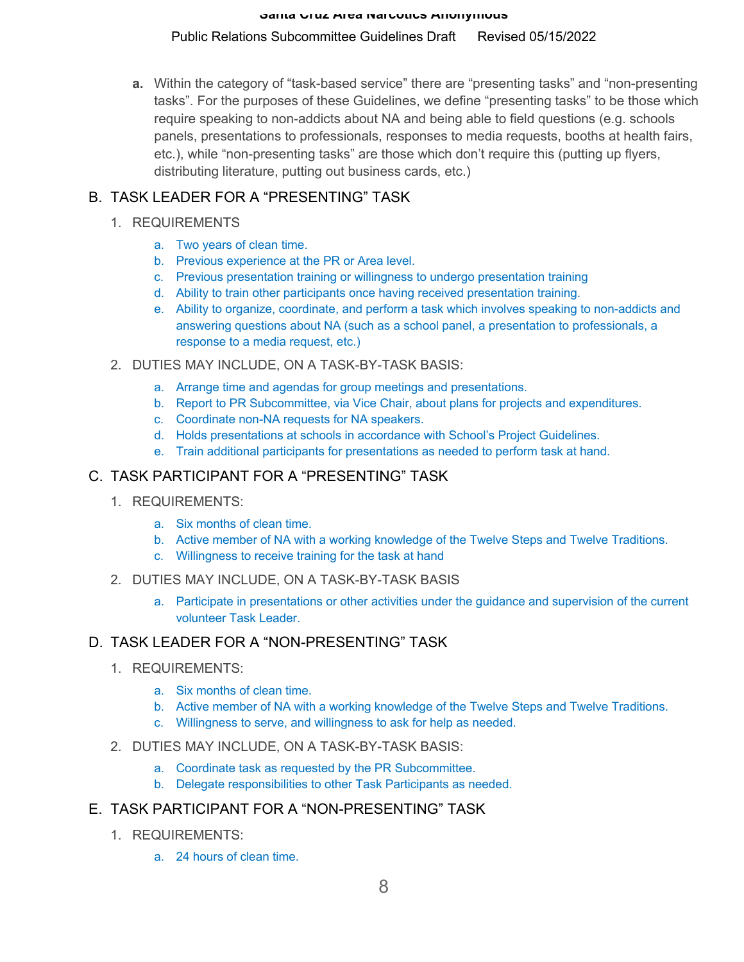#### Public Relations Subcommittee Guidelines Draft Revised 05/15/2022

**a.** Within the category of "task-based service" there are "presenting tasks" and "non-presenting tasks". For the purposes of these Guidelines, we define "presenting tasks" to be those which require speaking to non-addicts about NA and being able to field questions (e.g. schools panels, presentations to professionals, responses to media requests, booths at health fairs, etc.), while "non-presenting tasks" are those which don't require this (putting up flyers, distributing literature, putting out business cards, etc.)

# B. TASK LEADER FOR A "PRESENTING" TASK

### 1. REQUIREMENTS

- a. Two years of clean time.
- b. Previous experience at the PR or Area level.
- c. Previous presentation training or willingness to undergo presentation training
- d. Ability to train other participants once having received presentation training.
- e. Ability to organize, coordinate, and perform a task which involves speaking to non-addicts and answering questions about NA (such as a school panel, a presentation to professionals, a response to a media request, etc.)
- 2. DUTIES MAY INCLUDE, ON A TASK-BY-TASK BASIS:
	- a. Arrange time and agendas for group meetings and presentations.
	- b. Report to PR Subcommittee, via Vice Chair, about plans for projects and expenditures.
	- c. Coordinate non-NA requests for NA speakers.
	- d. Holds presentations at schools in accordance with School's Project Guidelines.
	- e. Train additional participants for presentations as needed to perform task at hand.

# C. TASK PARTICIPANT FOR A "PRESENTING" TASK

- 1. REQUIREMENTS:
	- a. Six months of clean time.
	- b. Active member of NA with a working knowledge of the Twelve Steps and Twelve Traditions.
	- c. Willingness to receive training for the task at hand
- 2. DUTIES MAY INCLUDE, ON A TASK-BY-TASK BASIS
	- a. Participate in presentations or other activities under the guidance and supervision of the current volunteer Task Leader.

## D. TASK LEADER FOR A "NON-PRESENTING" TASK

- 1. REQUIREMENTS:
	- a. Six months of clean time.
	- b. Active member of NA with a working knowledge of the Twelve Steps and Twelve Traditions.
	- c. Willingness to serve, and willingness to ask for help as needed.
- 2. DUTIES MAY INCLUDE, ON A TASK-BY-TASK BASIS:
	- a. Coordinate task as requested by the PR Subcommittee.
	- b. Delegate responsibilities to other Task Participants as needed.

## E. TASK PARTICIPANT FOR A "NON-PRESENTING" TASK

- 1. REQUIREMENTS:
	- a. 24 hours of clean time.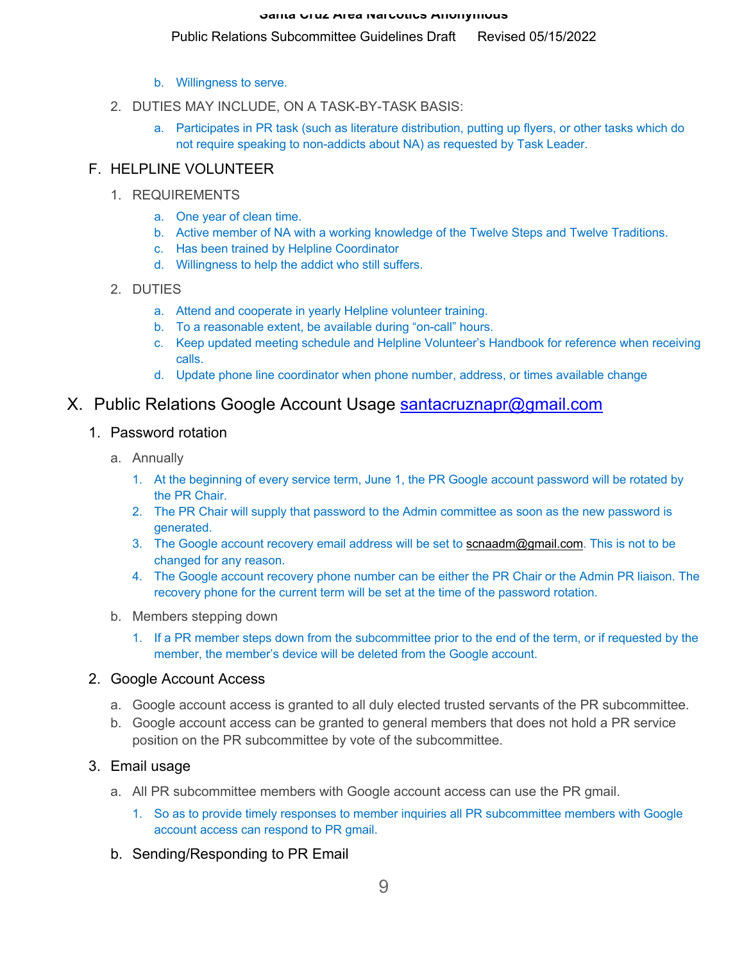#### Public Relations Subcommittee Guidelines Draft Revised 05/15/2022

- b. Willingness to serve.
- 2. DUTIES MAY INCLUDE, ON A TASK-BY-TASK BASIS:
	- a. Participates in PR task (such as literature distribution, putting up flyers, or other tasks which do not require speaking to non-addicts about NA) as requested by Task Leader.

### F. HELPLINE VOLUNTEER

- 1. REQUIREMENTS
	- a. One year of clean time.
	- b. Active member of NA with a working knowledge of the Twelve Steps and Twelve Traditions.
	- c. Has been trained by Helpline Coordinator
	- d. Willingness to help the addict who still suffers.

#### 2. DUTIES

- a. Attend and cooperate in yearly Helpline volunteer training.
- b. To a reasonable extent, be available during "on-call" hours.
- c. Keep updated meeting schedule and Helpline Volunteer's Handbook for reference when receiving calls.
- d. Update phone line coordinator when phone number, address, or times available change

# X. Public Relations Google Account Usage santacruznapr@gmail.com

## 1. Password rotation

- a. Annually
	- 1. At the beginning of every service term, June 1, the PR Google account password will be rotated by the PR Chair.
	- 2. The PR Chair will supply that password to the Admin committee as soon as the new password is generated.
	- 3. The Google account recovery email address will be set to **scnaadm@gmail.com**. This is not to be changed for any reason.
	- 4. The Google account recovery phone number can be either the PR Chair or the Admin PR liaison. The recovery phone for the current term will be set at the time of the password rotation.
- b. Members stepping down
	- 1. If a PR member steps down from the subcommittee prior to the end of the term, or if requested by the member, the member's device will be deleted from the Google account.

#### 2. Google Account Access

- a. Google account access is granted to all duly elected trusted servants of the PR subcommittee.
- b. Google account access can be granted to general members that does not hold a PR service position on the PR subcommittee by vote of the subcommittee.

#### 3. Email usage

- a. All PR subcommittee members with Google account access can use the PR gmail.
	- 1. So as to provide timely responses to member inquiries all PR subcommittee members with Google account access can respond to PR gmail.
- b. Sending/Responding to PR Email